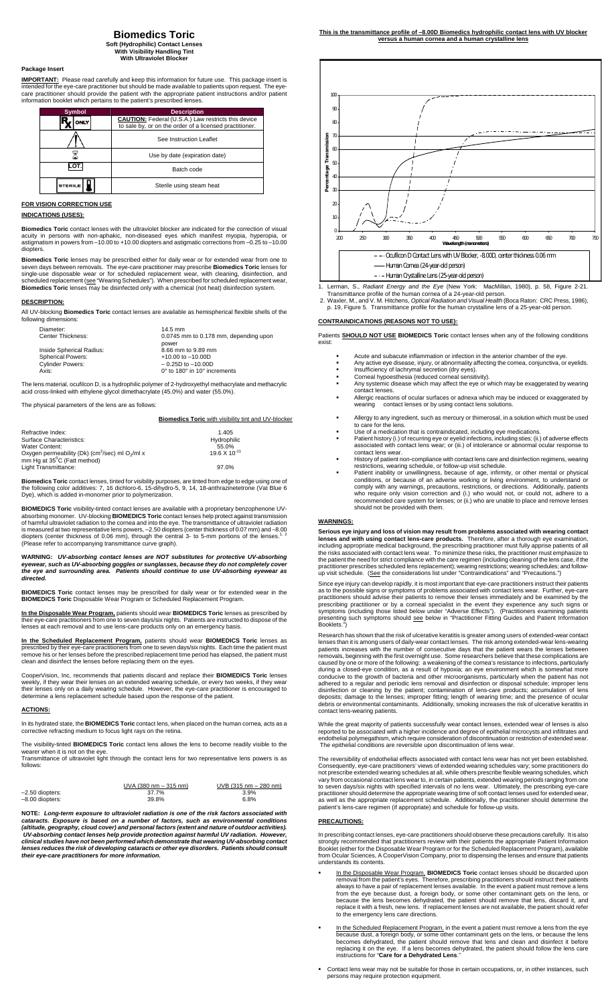# **Biomedics Toric**

**Soft (Hydrophilic) Contact Lenses With Visibility Handling Tint With Ultraviolet Block** 

# **Package Insert**

**IMPORTANT:** Please read carefully and keep this information for future use. This package insert is<br>intended for the eye-care practitioner but should be made available to patients upon request. The eye-<br>care practitioner s

| <b>Symbol</b> | <b>Description</b>                                         |  |
|---------------|------------------------------------------------------------|--|
| ONLY          | <b>CAUTION:</b> Federal (U.S.A.) Law restricts this device |  |
|               | to sale by, or on the order of a licensed practitioner.    |  |
|               | See Instruction Leaflet                                    |  |
|               | Use by date (expiration date)                              |  |
| റി            | Batch code                                                 |  |
| <b>ERILE</b>  | Sterile using steam heat                                   |  |

# **FOR VISION CORRECTION USE**

### **INDICATIONS (USES):**

**Biomedics Toric** contact lenses with the ultraviolet blocker are indicated for the correction of visual acuity in persons with non-aphakic, non-diseased eyes which manifest myopia, hyperopia, or astigmatism in powers from –10.00 to +10.00 diopters and astigmatic corrections from –0.25 to –10.00 diopters.

**Biomedics Toric** lenses may be prescribed either for daily wear or for extended wear from one to seven days between removals. The eye-care practitioner may prescribe **Biomedics Toric** lenses for single-use disposable wear

### **DESCRIPTION:**

 $Re$ 

All UV-blocking **Biomedics Toric** contact lenses are available as hemispherical flexible shells of the following dime

| $14.5$ mm                             |
|---------------------------------------|
| 0.0745 mm to 0.178 mm, depending upon |
| power                                 |
| 8.66 mm to 9.89 mm                    |
| $+10.00$ to $-10.00$ D                |
| $-0.25D$ to $-10.00D$                 |
| 0° to 180° in 10° increments          |
|                                       |

The lens material, ocufilcon D, is a hydrophilic polymer of 2-hydroxyethyl methacrylate and methacrylic acid cross-linked with ethylene glycol dimethacrylate (45.0%) and water (55.0%).

The physical parameters of the lens are as follows:

|                          | <b>Biomedics Toric</b> with visibility tint and UV-blocker |
|--------------------------|------------------------------------------------------------|
|                          |                                                            |
| Refractive Index:        | 1.405                                                      |
| Surface Characteristics: | Hydrophilic                                                |
| Water Content:           | 55.0%                                                      |
|                          | $10.0 \times 10^{-11}$                                     |

| Water Content:                                                          | 55.0%                  |
|-------------------------------------------------------------------------|------------------------|
| Oxygen permeability (Dk) (cm <sup>2</sup> /sec) ml O <sub>2</sub> /ml x | $19.6 \times 10^{-11}$ |
| mm Hg at 35 <sup>°</sup> C (Fatt method)                                |                        |
| Light Transmittance:                                                    | 97.0%                  |

**Biomedics Toric** contact lenses, tinted for visibility purposes, are tinted from edge to edge using one of<br>the following color additives: 7, 16 dichloro-6, 15-dihydro-5, 9, 14, 18-anthrazinetetrone (Vat Blue 6<br>Dye), which

**BIOMEDICS Toric** visibility-tinted contact lenses are available with a proprietary benzophenone UV-<br>absorbing monomer. UV-blocking **BIOMEDICS Toric** contact lenses help protect against transmission<br>of harmful ultraviolet

WARNING: UV-absorbing contact lenses are NOT substitutes for protective UV-absorbing<br>eyewear, such as UV-absorbing goggles or sunglasses, because they do not completely cover<br>the eye and surrounding area. Patients should c

**BIOMEDICS Toric** contact lenses may be prescribed for daily wear or for extended wear in the **BIOMEDICS Toric** Disposable Wear Program or Scheduled Replacement Program.

**In the Disposable Wear Program,** patients should wear **BIOMEDICS Toric** lenses as prescribed by their eye-care practitioners from one to seven days/six nights. Patients are instructed to dispose of the lenses at each removal and to use lens-care products only on an emergency basis.

<u>In the Scheduled Replacement Program,</u> patients should wear BIOMEDICS Toric lenses as<br>prescribed by their eye-care practitioners from one to seven days/six nights. Each time the patient must<br>remove his or her lenses befor clean and disinfect the lenses before replacing them on the eyes.

CooperVision, Inc, recommends that patients discard and replace their **BIOMEDICS Toric** lenses<br>weekly, if they wear their lenses on an extended wearing schedule, or every two weeks, if they wear<br>their lenses only on a dail

### **ACTIONS:**

In its hydrated state, the **BIOMEDICS Toric** contact lens, when placed on the human cornea, acts as a corrective refracting medium to focus light rays on the retina.

The visibility-tinted **BIOMEDICS Toric** contact lens allows the lens to become readily visible to the wearer when it is not on the eye. Transmittance of ultraviolet light through the contact lens for two representative lens powers is as follows:

UVA (380 nm – 315 nm) UVB (315 nm – 280 nm)

| <u>UVA 1380 NNI – 315 NNI)</u> | <u>UVB (315 NH) – ZOU NH)</u> |
|--------------------------------|-------------------------------|
| 37.7%                          | 3.9%                          |
| 39.8%                          | 6.8%                          |
|                                |                               |

**NOTE:** *Long-term exposure to ultraviolet radiation is one of the risk factors associated with cataracts. Exposure is based on a number of factors, such as environmental conditions*  (altitude, geography, cloud cover) and personal factors (extent and nature of outdoor activities).<br> UV-absorbing contact lenses help provide protection against harmful UV radiation. However,<br>clinical studies have not been *lenses reduces the risk of developing cataracts or other eye disorders. Patients should consult their eye-care practitioners for more information.* 



- 1. Lerman, S., Radiant Energy and the Eye (New York: MacMillan, 1980), p. 58, Figure 2-21.<br>Transmittance profile of the human comea of a 24-year-old person.<br>2. Waxler, M., and V. M. Hitchens, Optical Radiation and Visual H
- 

# **CONTRAINDICATIONS (REASONS NOT TO USE):**

Patients **SHOULD NOT USE BIOMEDICS Toric** contact lenses when any of the following conditions exist:

- Acute and subacute inflammation or infection in the anterior chamber of the eye.
- Any active eye disease, injury, or abnormality affecting the cornea, conjunctiva, or eyelids. Insufficiency of lachrymal secretion (dry eyes). Corneal hypoesthesia (reduced corneal sensitivity).
- 
- Any systemic disease which may affect the eye or which may be exaggerated by wearing contact lenses.
- Allergic reactions of ocular surfaces or adnexa which may be induced or exaggerated by wearing contact lenses or by using contact lens solutions.
- 
- 
- Allergy to any ingredient, such as mercury or thimerosal, in a solution which must be used<br>to care for the lens.<br>Use of a medication that is contraindicated, including eye medications.<br>Patient history (i.) of recurring eye contact lens wear.
- History of patient non-compliance with contact lens care and disinfection regimens, wearing
- restrictions, wearing schedule, or follow-up visit schedule.<br>
Patient inability or unwillingness, because of age, infirmity, or other mental or physical<br>
conditions, or because of an adverse working or living environment,

## **WARNINGS:**

**Serious eye injury and loss of vision may result from problems associated with wearing contact lenses and with using contact lens-care products.** Therefore, after a thorough eye examination, including appropriate medical background, the prescribing practitioner must fully apprise patients of all<br>the risks associated with contact lens wear. To minimize these risks, the practitioner must emphasize to<br>the patient

Since eye injury can develop rapidly, it is most important that eye-care practitioners instruct their patients<br>as to the possible signs or symptoms of problems associated with contact lens wear. Further, eye-care<br>practitio

Research has shown that the risk of ulcerative keratitis is greater among users of extended-wear contact<br>lenses than it is among users of daily-wear contact lenses. The risk among extended-wear contact<br>patients increases w contact lens-wearing patients.

While the great majority of patients successfully wear contact lenses, extended wear of lenses is also<br>reported to be associated with a higher incidence and degree of epithelial microcysts and infiltrates and<br>endothelial p The epithelial conditions are reversible upon discontinuation of lens wear.

The reversibility of endothelial effects associated with contact lens wear has not yet been established.<br>Consequently, eye-care practitioners' views of extended wearing schedules vary; some practitioners do<br>not prescribe e

### **PRECAUTIONS:**

In prescribing contact lenses, eye-care practitioners should observe these precautions carefully. It is also strongly recommended that practitioners review with their patients the appropriate Patient Information<br>Booklet (either for the Disposable Wear Program or for the Scheduled Replacement Program), available<br>from Ocular Scienc understands its contents.

- In the Disposable Wear Program, **BIOMEDICS Toric** contact lenses should be discarded upon removal from the patient's eyes. Therefore, prescribing practitioners should instruct their patient always to have a pair of replace to the emergency lens care directions.
- In the Scheduled Replacement Program, in the event a patient must remove a lens from the eye<br>because dust, a foreign body, or some other contaminant gets on the lens, or because the lens<br>becomes dehydrated, the patient sho replacing it on the eye. If a lens becomes dehydrated, the patient should follow the lens care **instructions for a Dehydrated Lens.**
- Contact lens wear may not be suitable for those in certain occupations, or, in other instances, such persons may require protection equipment.